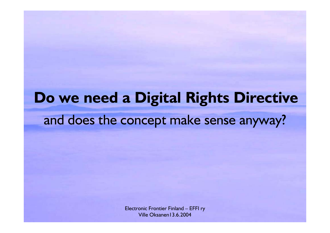### **Do we need a Digital Rights Directive** and does the concept make sense anyway?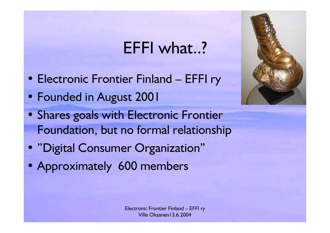### EFFI what..?

- Electronic Frontier Finland EFFI ry
- Founded in August 2001
- Shares goals with Electronic Frontier Foundation, but no formal relationship
- "Digital Consumer Organization"
- Approximately 600 members



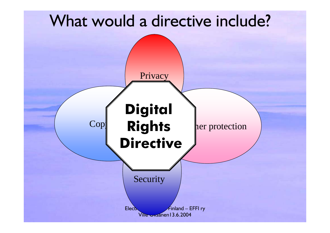### What would a directive include?

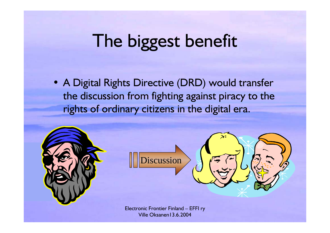# The biggest benefit

• A Digital Rights Directive (DRD) would transfer the discussion from fighting against piracy to the rights of ordinary citizens in the digital era.

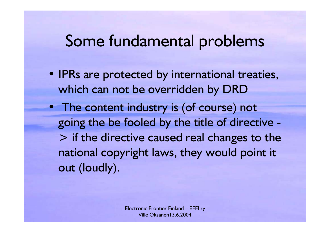#### Some fundamental problems

- IPRs are protected by international treaties, which can not be overridden by DRD
- The content industry is (of course) not going the be fooled by the title of directive - > if the directive caused real changes to the national copyright laws, they would point it out (loudly).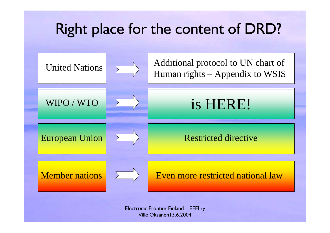### Right place for the content of DRD?

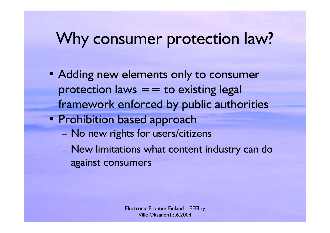### Why consumer protection law?

- Adding new elements only to consumer protection laws  $=$  = to existing legal framework enforced by public authorities
- Prohibition based approach
	- No new rights for users/citizens
	- New limitations what content industry can do against consumers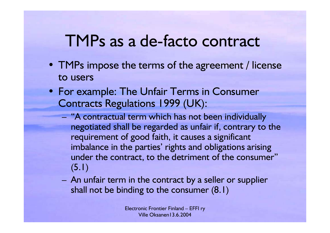### TMPs as a de-facto contract

- TMPs impose the terms of the agreement / license to users
- For example: The Unfair Terms in Consumer Contracts Regulations 1999 (UK):
	- "A contractual term which has not been individually negotiated shall be regarded as unfair if, contrary to the requirement of good faith, it causes a significant imbalance in the parties' rights and obligations arising under the contract, to the detriment of the consumer" (5.1)
	- An unfair term in the contract by a seller or supplier shall not be binding to the consumer (8.1)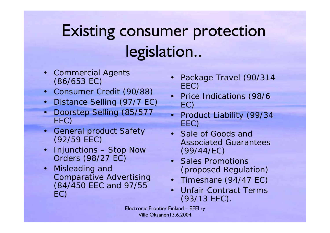## Existing consumer protection legislation..

- Commercial Agents (86/653 EC)
- Consumer Credit (90/88)
- $\bullet$ Distance Selling (97/7 EC)
- $\bullet$  Doorstep Selling (85/577 EEC)
- General product Safety (92/59 EEC)
- •• Injunctions – Stop Now Orders (98/27 EC)
- • Misleading and Comparative Advertising (84/450 EEC and 97/55 EC)
- • Package Travel (90/314 EEC)
- Price Indications (98/6 EC)
- Product Liability (99/34 EEC)
- Sale of Goods and Associated Guarantees (99/44/EC)
- Sales Promotions (prop osed Regulation)
- Timeshare (94/47 EC)
- • Unfair Contract Terms (93/13 EEC).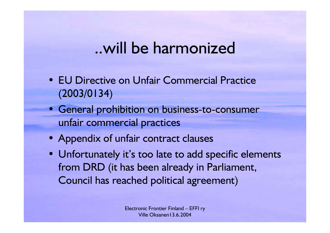#### ..will be harmonized

- EU Directive on Unfair Commercial Practice (2003/0134)
- General prohibition on business-to-consumer unfair commercial practices
- Appendix of unfair contract clauses
- Unfortunately it's too late to add specific elements from DRD (it has been already in Parliament, Council has reached political agreement)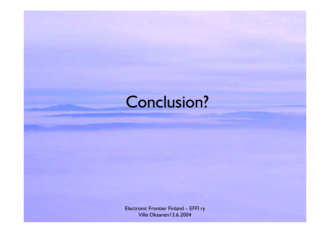### Conclusion?